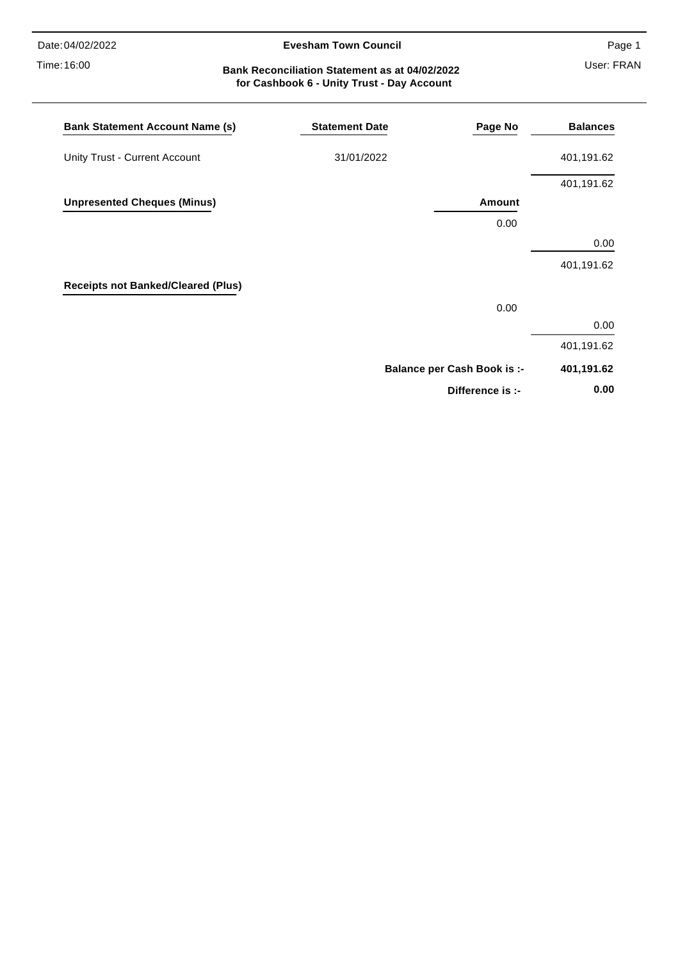Time: 16:00

#### **Evesham Town Council**

Page 1

## User: FRAN **Bank Reconciliation Statement as at 04/02/2022 for Cashbook 6 - Unity Trust - Day Account**

| <b>Bank Statement Account Name (s)</b>    | <b>Statement Date</b> | Page No                            | <b>Balances</b> |
|-------------------------------------------|-----------------------|------------------------------------|-----------------|
| Unity Trust - Current Account             | 31/01/2022            |                                    | 401,191.62      |
|                                           |                       |                                    | 401,191.62      |
| <b>Unpresented Cheques (Minus)</b>        |                       | Amount                             |                 |
|                                           |                       | 0.00                               |                 |
|                                           |                       |                                    | 0.00            |
|                                           |                       |                                    | 401,191.62      |
| <b>Receipts not Banked/Cleared (Plus)</b> |                       |                                    |                 |
|                                           |                       | 0.00                               |                 |
|                                           |                       |                                    | 0.00            |
|                                           |                       |                                    | 401,191.62      |
|                                           |                       | <b>Balance per Cash Book is :-</b> | 401,191.62      |
|                                           |                       | Difference is :-                   | 0.00            |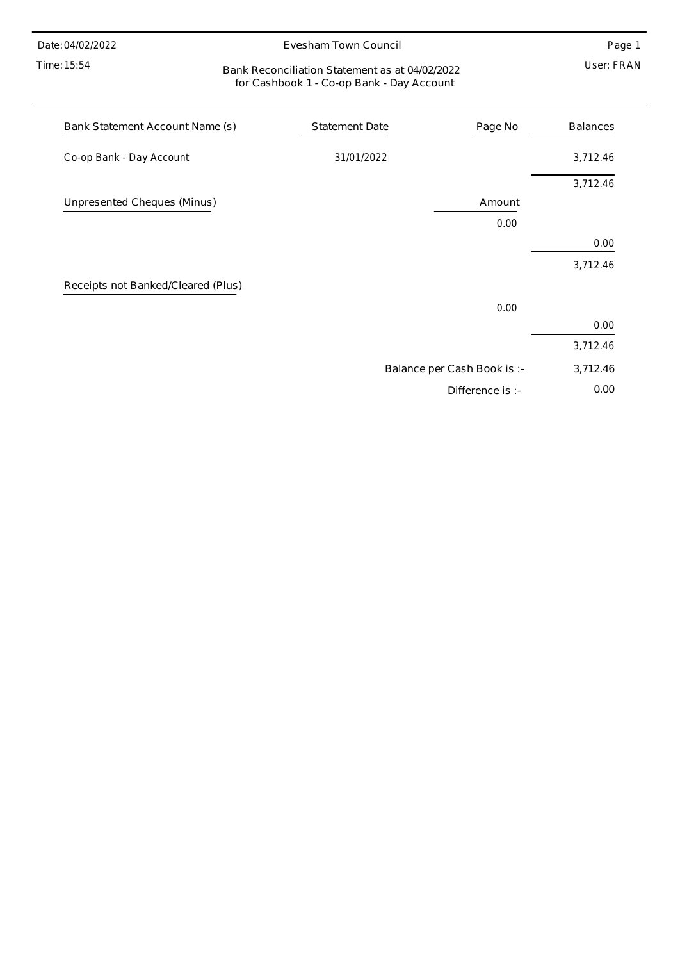Time: 15:54

#### Evesham Town Council

Page 1

### User: FRAN Bank Reconciliation Statement as at 04/02/2022 for Cashbook 1 - Co-op Bank - Day Account

| Bank Statement Account Name (s)    | <b>Statement Date</b> | Page No                     | <b>Balances</b> |
|------------------------------------|-----------------------|-----------------------------|-----------------|
| Co-op Bank - Day Account           | 31/01/2022            |                             | 3,712.46        |
|                                    |                       |                             | 3,712.46        |
| Unpresented Cheques (Minus)        |                       | Amount                      |                 |
|                                    |                       | 0.00                        |                 |
|                                    |                       |                             | 0.00            |
|                                    |                       |                             | 3,712.46        |
| Receipts not Banked/Cleared (Plus) |                       |                             |                 |
|                                    |                       | 0.00                        |                 |
|                                    |                       |                             | 0.00            |
|                                    |                       |                             | 3,712.46        |
|                                    |                       | Balance per Cash Book is :- | 3,712.46        |
|                                    |                       | Difference is :-            | 0.00            |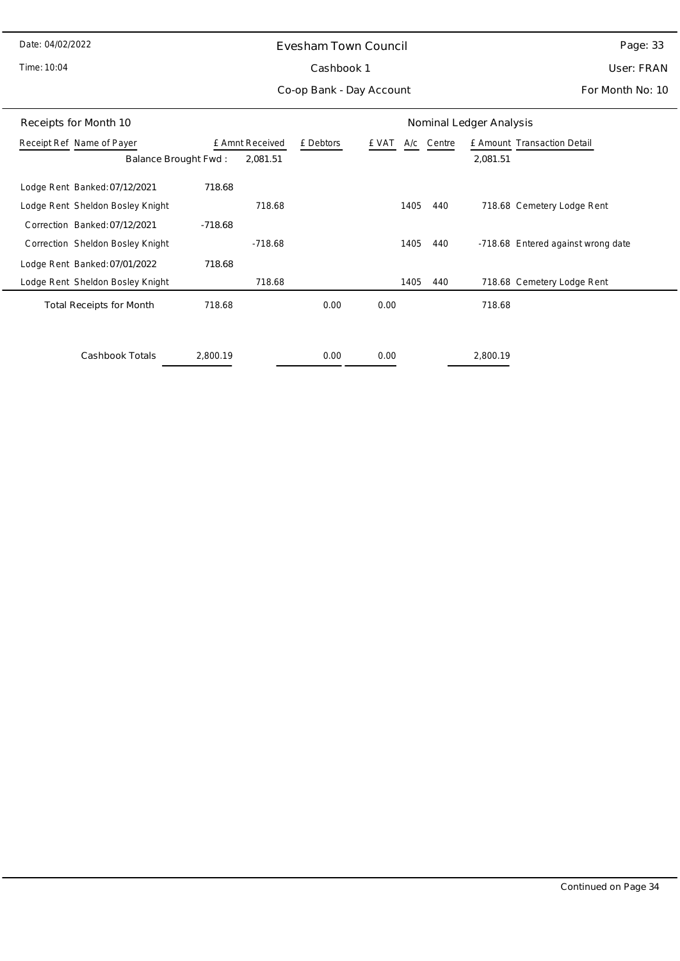Time: 10:04

# Evesham Town Council Cashbook 1

Page: 33

User: FRAN

Co-op Bank - Day Account

For Month No: 10

| Nominal Ledger Analysis<br>Receipts for Month 10 |           |                 |           |       |            |          |                                    |
|--------------------------------------------------|-----------|-----------------|-----------|-------|------------|----------|------------------------------------|
| Receipt Ref Name of Payer                        |           | £ Amnt Received | £ Debtors | £ VAT | A/c Centre |          | £ Amount Transaction Detail        |
| Balance Brought Fwd:                             |           | 2,081.51        |           |       |            | 2,081.51 |                                    |
| Lodge Rent Banked: 07/12/2021                    | 718.68    |                 |           |       |            |          |                                    |
| Lodge Rent Sheldon Bosley Knight                 |           | 718.68          |           | 1405  | 440        |          | 718.68 Cemetery Lodge Rent         |
| Correction Banked: 07/12/2021                    | $-718.68$ |                 |           |       |            |          |                                    |
| Correction Sheldon Bosley Knight                 |           | $-718.68$       |           | 1405  | 440        |          | -718.68 Entered against wrong date |
| Lodge Rent Banked: 07/01/2022                    | 718.68    |                 |           |       |            |          |                                    |
| Lodge Rent Sheldon Bosley Knight                 |           | 718.68          |           | 1405  | 440        |          | 718.68 Cemetery Lodge Rent         |
| <b>Total Receipts for Month</b>                  | 718.68    |                 | 0.00      | 0.00  |            | 718.68   |                                    |
| Cashbook Totals                                  | 2,800.19  |                 | 0.00      | 0.00  |            | 2.800.19 |                                    |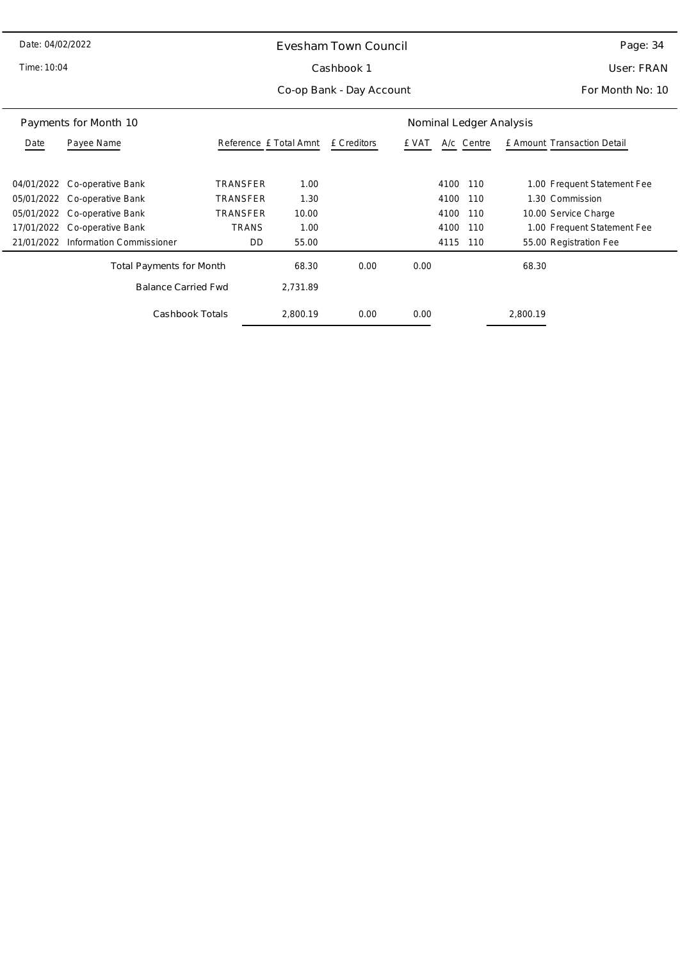Time: 10:04

 $\overline{\phantom{0}}$ 

# Evesham Town Council Cashbook 1

User: FRAN

Co-op Bank - Day Account

For Month No: 10

| Payments for Month 10           |                          | Nominal Ledger Analysis |                        |      |       |             |                             |
|---------------------------------|--------------------------|-------------------------|------------------------|------|-------|-------------|-----------------------------|
| Date                            | Payee Name               |                         | Reference £ Total Amnt |      | e vat | A/c Centre  | E Amount Transaction Detail |
|                                 |                          |                         |                        |      |       |             |                             |
| 04/01/2022                      | Co-operative Bank        | TRANSFER                | 1.00                   |      |       | 4100<br>110 | 1.00 Frequent Statement Fee |
| 05/01/2022                      | Co-operative Bank        | TRANSFER                | 1.30                   |      |       | 4100<br>110 | 1.30 Commission             |
| 05/01/2022                      | Co-operative Bank        | TRANSFER                | 10.00                  |      |       | 4100<br>110 | 10.00 Service Charge        |
| 17/01/2022                      | Co-operative Bank        | TRANS                   | 1.00                   |      |       | 4100<br>110 | 1.00 Frequent Statement Fee |
| 21/01/2022                      | Information Commissioner | DD                      | 55.00                  |      |       | 4115<br>110 | 55.00 Registration Fee      |
| <b>Total Payments for Month</b> |                          | 68.30                   | 0.00                   | 0.00 |       | 68.30       |                             |
| <b>Balance Carried Fwd</b>      |                          | 2.731.89                |                        |      |       |             |                             |
| Cashbook Totals                 |                          | 2.800.19                | 0.00                   | 0.00 |       | 2.800.19    |                             |

Page: 34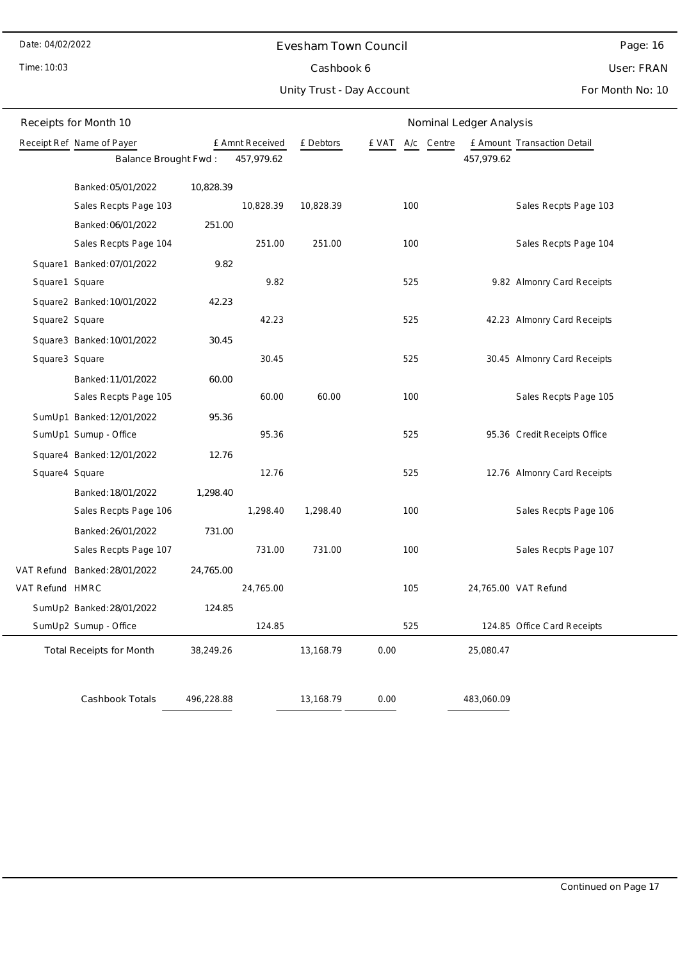Time: 10:03

# Evesham Town Council Cashbook 6

Page: 16

# User: FRAN

Unity Trust - Day Account

For Month No: 10

|                                              | Receipts for Month 10              | Nominal Ledger Analysis |           |           |      |        |  |                             |                              |
|----------------------------------------------|------------------------------------|-------------------------|-----------|-----------|------|--------|--|-----------------------------|------------------------------|
| Receipt Ref Name of Payer<br>£ Amnt Received |                                    |                         | £ Debtors | e vat     | A/c  | Centre |  | £ Amount Transaction Detail |                              |
|                                              | 457,979.62<br>Balance Brought Fwd: |                         |           |           |      |        |  | 457,979.62                  |                              |
|                                              | Banked: 05/01/2022                 | 10,828.39               |           |           |      |        |  |                             |                              |
|                                              | Sales Recpts Page 103              |                         | 10,828.39 | 10,828.39 |      | 100    |  |                             | Sales Recpts Page 103        |
|                                              | Banked: 06/01/2022                 | 251.00                  |           |           |      |        |  |                             |                              |
|                                              | Sales Recpts Page 104              |                         | 251.00    | 251.00    |      | 100    |  |                             | Sales Recpts Page 104        |
|                                              | Square1 Banked: 07/01/2022         | 9.82                    |           |           |      |        |  |                             |                              |
| Square1 Square                               |                                    |                         | 9.82      |           |      | 525    |  |                             | 9.82 Almonry Card Receipts   |
|                                              | Square2 Banked: 10/01/2022         | 42.23                   |           |           |      |        |  |                             |                              |
| Square2 Square                               |                                    |                         | 42.23     |           |      | 525    |  |                             | 42.23 Almonry Card Receipts  |
|                                              | Square3 Banked: 10/01/2022         | 30.45                   |           |           |      |        |  |                             |                              |
| Square3 Square                               |                                    |                         | 30.45     |           |      | 525    |  |                             | 30.45 Almonry Card Receipts  |
|                                              | Banked: 11/01/2022                 | 60.00                   |           |           |      |        |  |                             |                              |
|                                              | Sales Recpts Page 105              |                         | 60.00     | 60.00     |      | 100    |  |                             | Sales Recpts Page 105        |
|                                              | SumUp1 Banked: 12/01/2022          | 95.36                   |           |           |      |        |  |                             |                              |
|                                              | SumUp1 Sumup - Office              |                         | 95.36     |           |      | 525    |  |                             | 95.36 Credit Receipts Office |
|                                              | Square4 Banked: 12/01/2022         | 12.76                   |           |           |      |        |  |                             |                              |
| Square4 Square                               |                                    |                         | 12.76     |           |      | 525    |  |                             | 12.76 Almonry Card Receipts  |
|                                              | Banked: 18/01/2022                 | 1,298.40                |           |           |      |        |  |                             |                              |
|                                              | Sales Recpts Page 106              |                         | 1,298.40  | 1,298.40  |      | 100    |  |                             | Sales Recpts Page 106        |
|                                              | Banked: 26/01/2022                 | 731.00                  |           |           |      |        |  |                             |                              |
|                                              | Sales Recpts Page 107              |                         | 731.00    | 731.00    |      | 100    |  |                             | Sales Recpts Page 107        |
|                                              | VAT Refund Banked: 28/01/2022      | 24,765.00               |           |           |      |        |  |                             |                              |
| VAT Refund HMRC                              |                                    |                         | 24,765.00 |           |      | 105    |  |                             | 24,765.00 VAT Refund         |
|                                              | SumUp2 Banked: 28/01/2022          | 124.85                  |           |           |      |        |  |                             |                              |
|                                              | SumUp2 Sumup - Office              |                         | 124.85    |           |      | 525    |  |                             | 124.85 Office Card Receipts  |
|                                              | <b>Total Receipts for Month</b>    | 38,249.26               |           | 13,168.79 | 0.00 |        |  | 25,080.47                   |                              |
|                                              |                                    |                         |           |           |      |        |  |                             |                              |
|                                              | Cashbook Totals                    | 496,228.88              |           | 13,168.79 | 0.00 |        |  | 483,060.09                  |                              |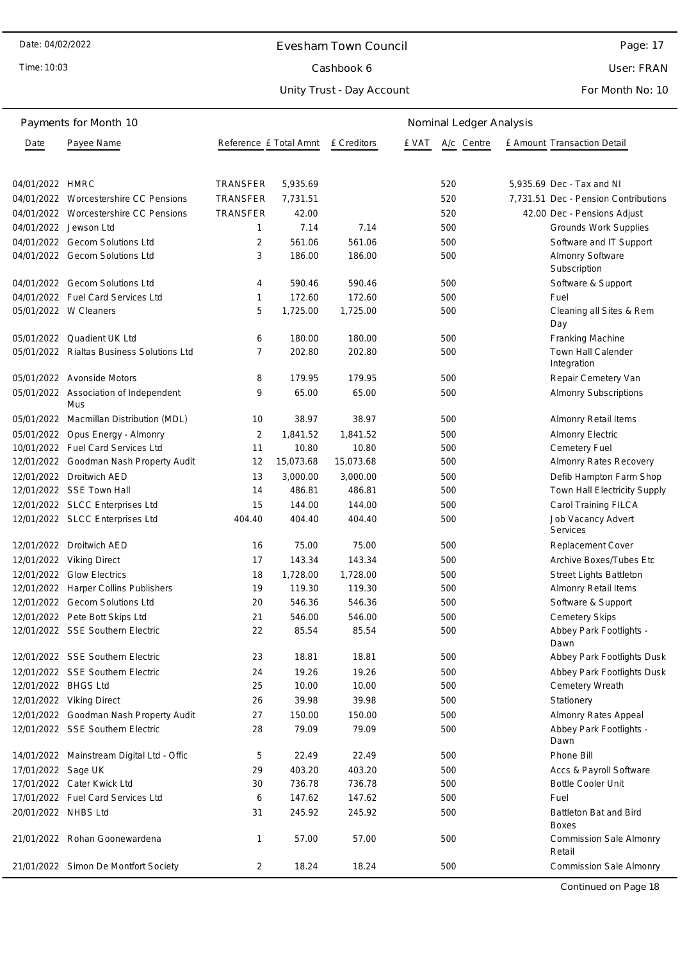Time: 10:03

#### Evesham Town Council

Page: 17

User: FRAN

For Month No: 10

### Payments for Month Date Payee Name **Reference £ Total Amnt** E Creditors E VAT A/c Centre 10 Nominal Ledger Analysis £ Amount Transaction Detail 04/01/2022 HMRC TRANSFER 5,935.69 520 5,935.69 Dec - Tax and NI 04/01/2022 Worcestershire CC Pensions TRANSFER 7,731.51 520 520 7,731.51 Dec - Pension Contributions 04/01/2022 Worcestershire CC Pensions TRANSFER 42.00 520 520 42.00 Dec - Pensions Adjust 04/01/2022 Jewson Ltd **1 7.14 7.14 500** Grounds Work Supplies 04/01/2022 Gecom Solutions Ltd 2 561.06 561.06 500 Software and IT Support 04/01/2022 Gecom Solutions Ltd 3 186.00 186.00 500 Almonry Software Subscription 04/01/2022 Gecom Solutions Ltd  $4$  590.46 590.46 590.46 500 Software & Support 04/01/2022 Fuel Card Services Ltd 1 172.60 172.60 500 500 Fuel 05/01/2022 W Cleaners **5 1,725.00 1,725.00** 500 Cleaning all Sites & Rem Day 05/01/2022 Quadient UK Ltd 6 180.00 180.00 500 Franking Machine 05/01/2022 Rialtas Business Solutions Ltd  $\overline{7}$  202.80 202.80 500 500 Town Hall Calender Integration 05/01/2022 Avonside Motors 8 179.95 179.95 500 Repair Cemetery Van 05/01/2022 Association of Independent Mus 9 65.00 65.00 500 Almonry Subscriptions 05/01/2022 Macmillan Distribution (MDL) 10 38.97 38.97 500 500 Almonry Retail Items 05/01/2022 Opus Energy - Almonry 2 1,841.52 1,841.52 500 Almonry Electric 10/01/2022 Fuel Card Services Ltd 11 10.80 10.80 500 Cemetery Fuel 12/01/2022 Goodman Nash Property Audit 12 15,073.68 15,073.68 500 Almonry Rates Recovery 12/01/2022 Droitwich AED 13 3,000.00 3,000.00 500 Defib Hampton Farm Shop 12/01/2022 SSE Town Hall 14 486.81 486.81 500 Town Hall Electricity Supply 12/01/2022 SLCC Enterprises Ltd 15 144.00 144.00 500 Carol Training FILCA 12/01/2022 SLCC Enterprises Ltd 404.40 404.40 404.40 500 Job Vacancy Advert Services 12/01/2022 Droitwich AED 16 75.00 75.00 500 Replacement Cover 12/01/2022 Viking Direct 17 143.34 143.34 500 Archive Boxes/Tubes Etc 12/01/2022 Glow Electrics 18 1,728.00 1,728.00 500 Street Lights Battleton 12/01/2022 Harper Collins Publishers 19 119.30 119.30 500 Almonry Retail Items 12/01/2022 Gecom Solutions Ltd 20 546.36 546.36 500 Software & Support 12/01/2022 Pete Bott Skips Ltd 21 546.00 546.00 500 Cemetery Skips 12/01/2022 SSE Southern Electric 22 85.54 85.54 500 Abbey Park Footlights - Dawn 12/01/2022 SSE Southern Electric 23 18.81 18.81 500 Abbey Park Footlights Dusk 12/01/2022 SSE Southern Electric 24 19.26 19.26 500 Abbey Park Footlights Dusk 12/01/2022 BHGS Ltd 25 10.00 10.00 500 Cemetery Wreath 12/01/2022 Viking Direct 26 39.98 39.98 500 Stationery 12/01/2022 Goodman Nash Property Audit 27 150.00 150.00 500 Almonry Rates Appeal 12/01/2022 SSE Southern Electric 28 79.09 79.09 500 Abbey Park Footlights - Dawn 14/01/2022 Mainstream Digital Ltd - Offic 5 22.49 22.49 500 Phone Bill 17/01/2022 Sage UK 29 403.20 403.20 500 Accs & Payroll Software 17/01/2022 Cater Kwick Ltd 30 736.78 736.78 500 Bottle Cooler Unit 17/01/2022 Fuel Card Services Ltd 6 147.62 147.62 500 Fuel 20/01/2022 NHBS Ltd 31 245.92 245.92 500 Battleton Bat and Bird **Boyes** 21/01/2022 Rohan Goonewardena 1 57.00 57.00 500 Commission Sale Almonry Retail 21/01/2022 Simon De Montfort Society 2 18.24 18.24 500 Commission Sale Almonry

Continued on Page 18

Unity Trust - Day Account Cashbook 6